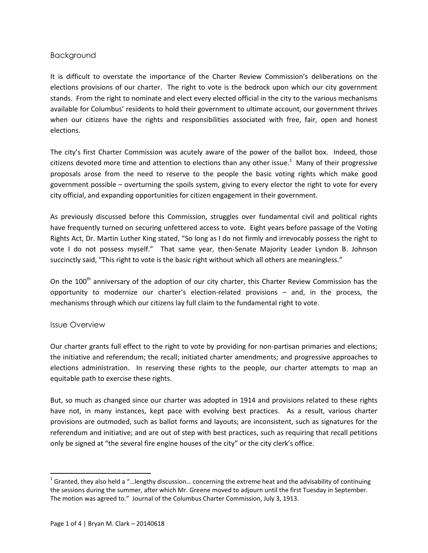# Background

It is difficult to overstate the importance of the Charter Review Commission's deliberations on the elections provisions of our charter. The right to vote is the bedrock upon which our city government stands. From the right to nominate and elect every elected official in the city to the various mechanisms available for Columbus' residents to hold their government to ultimate account, our government thrives when our citizens have the rights and responsibilities associated with free, fair, open and honest elections.

The city's first Charter Commission was acutely aware of the power of the ballot box. Indeed, those citizens devoted more time and attention to elections than any other issue.<sup>1</sup> Many of their progressive proposals arose from the need to reserve to the people the basic voting rights which make good government possible – overturning the spoils system, giving to every elector the right to vote for every city official, and expanding opportunities for citizen engagement in their government.

As previously discussed before this Commission, struggles over fundamental civil and political rights have frequently turned on securing unfettered access to vote. Eight years before passage of the Voting Rights Act, Dr. Martin Luther King stated, "So long as I do not firmly and irrevocably possess the right to vote I do not possess myself." That same year, then-Senate Majority Leader Lyndon B. Johnson succinctly said, "This right to vote is the basic right without which all others are meaningless."

On the 100<sup>th</sup> anniversary of the adoption of our city charter, this Charter Review Commission has the opportunity to modernize our charter's election-related provisions – and, in the process, the mechanisms through which our citizens lay full claim to the fundamental right to vote.

### Issue Overview

 $\overline{\phantom{a}}$ 

Our charter grants full effect to the right to vote by providing for non-partisan primaries and elections; the initiative and referendum; the recall; initiated charter amendments; and progressive approaches to elections administration. In reserving these rights to the people, our charter attempts to map an equitable path to exercise these rights.

But, so much as changed since our charter was adopted in 1914 and provisions related to these rights have not, in many instances, kept pace with evolving best practices. As a result, various charter provisions are outmoded, such as ballot forms and layouts; are inconsistent, such as signatures for the referendum and initiative; and are out of step with best practices, such as requiring that recall petitions only be signed at "the several fire engine houses of the city" or the city clerk's office.

<sup>&</sup>lt;sup>1</sup> Granted, they also held a "...lengthy discussion... concerning the extreme heat and the advisability of continuing the sessions during the summer, after which Mr. Greene moved to adjourn until the first Tuesday in September. The motion was agreed to." Journal of the Columbus Charter Commission, July 3, 1913.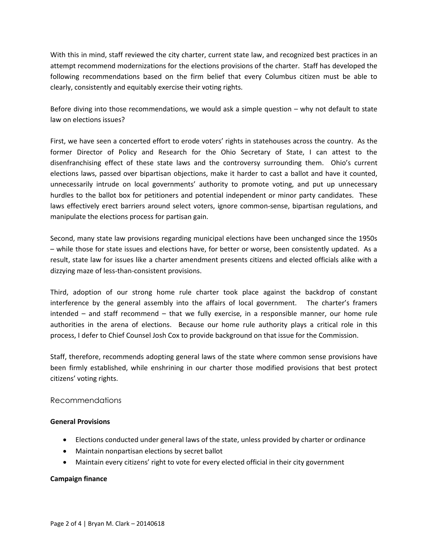With this in mind, staff reviewed the city charter, current state law, and recognized best practices in an attempt recommend modernizations for the elections provisions of the charter. Staff has developed the following recommendations based on the firm belief that every Columbus citizen must be able to clearly, consistently and equitably exercise their voting rights.

Before diving into those recommendations, we would ask a simple question – why not default to state law on elections issues?

First, we have seen a concerted effort to erode voters' rights in statehouses across the country. As the former Director of Policy and Research for the Ohio Secretary of State, I can attest to the disenfranchising effect of these state laws and the controversy surrounding them. Ohio's current elections laws, passed over bipartisan objections, make it harder to cast a ballot and have it counted, unnecessarily intrude on local governments' authority to promote voting, and put up unnecessary hurdles to the ballot box for petitioners and potential independent or minor party candidates. These laws effectively erect barriers around select voters, ignore common-sense, bipartisan regulations, and manipulate the elections process for partisan gain.

Second, many state law provisions regarding municipal elections have been unchanged since the 1950s – while those for state issues and elections have, for better or worse, been consistently updated. As a result, state law for issues like a charter amendment presents citizens and elected officials alike with a dizzying maze of less-than-consistent provisions.

Third, adoption of our strong home rule charter took place against the backdrop of constant interference by the general assembly into the affairs of local government. The charter's framers intended – and staff recommend – that we fully exercise, in a responsible manner, our home rule authorities in the arena of elections. Because our home rule authority plays a critical role in this process, I defer to Chief Counsel Josh Cox to provide background on that issue for the Commission.

Staff, therefore, recommends adopting general laws of the state where common sense provisions have been firmly established, while enshrining in our charter those modified provisions that best protect citizens' voting rights.

# Recommendations

### **General Provisions**

- Elections conducted under general laws of the state, unless provided by charter or ordinance
- Maintain nonpartisan elections by secret ballot
- Maintain every citizens' right to vote for every elected official in their city government

### **Campaign finance**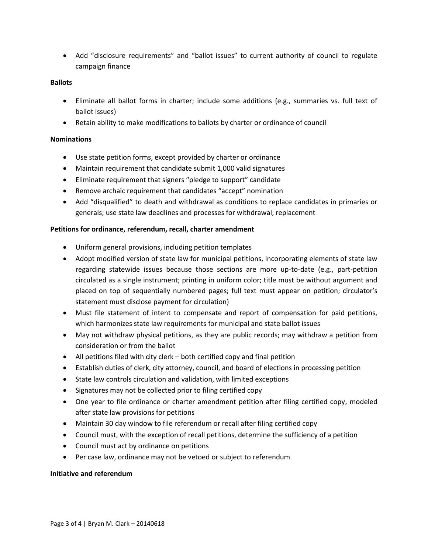Add "disclosure requirements" and "ballot issues" to current authority of council to regulate campaign finance

### **Ballots**

- Eliminate all ballot forms in charter; include some additions (e.g., summaries vs. full text of ballot issues)
- Retain ability to make modifications to ballots by charter or ordinance of council

## **Nominations**

- Use state petition forms, except provided by charter or ordinance
- Maintain requirement that candidate submit 1,000 valid signatures
- Eliminate requirement that signers "pledge to support" candidate
- Remove archaic requirement that candidates "accept" nomination
- Add "disqualified" to death and withdrawal as conditions to replace candidates in primaries or generals; use state law deadlines and processes for withdrawal, replacement

## **Petitions for ordinance, referendum, recall, charter amendment**

- Uniform general provisions, including petition templates
- Adopt modified version of state law for municipal petitions, incorporating elements of state law regarding statewide issues because those sections are more up-to-date (e.g., part-petition circulated as a single instrument; printing in uniform color; title must be without argument and placed on top of sequentially numbered pages; full text must appear on petition; circulator's statement must disclose payment for circulation)
- Must file statement of intent to compensate and report of compensation for paid petitions, which harmonizes state law requirements for municipal and state ballot issues
- May not withdraw physical petitions, as they are public records; may withdraw a petition from consideration or from the ballot
- All petitions filed with city clerk both certified copy and final petition
- Establish duties of clerk, city attorney, council, and board of elections in processing petition
- State law controls circulation and validation, with limited exceptions
- Signatures may not be collected prior to filing certified copy
- One year to file ordinance or charter amendment petition after filing certified copy, modeled after state law provisions for petitions
- Maintain 30 day window to file referendum or recall after filing certified copy
- Council must, with the exception of recall petitions, determine the sufficiency of a petition
- Council must act by ordinance on petitions
- Per case law, ordinance may not be vetoed or subject to referendum

### **Initiative and referendum**